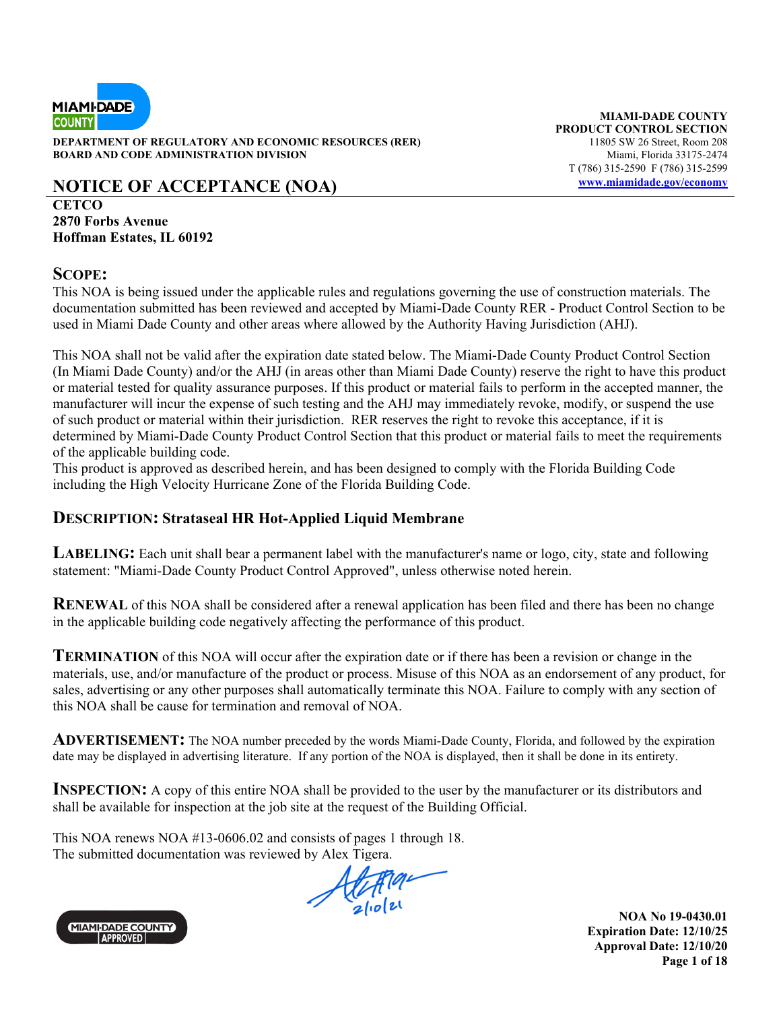

**DEPARTMENT OF REGULATORY AND ECONOMIC RESOURCES (RER)** 11805 SW 26 Street, Room 208 **BOARD AND CODE ADMINISTRATION DIVISION Miami, Florida 33175-2474** 

## **NOTICE OF ACCEPTANCE (NOA)** www.miamidade.gov/economy

**CETCO 2870 Forbs Avenue Hoffman Estates, IL 60192** 

#### **SCOPE:**

This NOA is being issued under the applicable rules and regulations governing the use of construction materials. The documentation submitted has been reviewed and accepted by Miami-Dade County RER - Product Control Section to be used in Miami Dade County and other areas where allowed by the Authority Having Jurisdiction (AHJ).

This NOA shall not be valid after the expiration date stated below. The Miami-Dade County Product Control Section (In Miami Dade County) and/or the AHJ (in areas other than Miami Dade County) reserve the right to have this product or material tested for quality assurance purposes. If this product or material fails to perform in the accepted manner, the manufacturer will incur the expense of such testing and the AHJ may immediately revoke, modify, or suspend the use of such product or material within their jurisdiction. RER reserves the right to revoke this acceptance, if it is determined by Miami-Dade County Product Control Section that this product or material fails to meet the requirements of the applicable building code.

This product is approved as described herein, and has been designed to comply with the Florida Building Code including the High Velocity Hurricane Zone of the Florida Building Code.

#### **DESCRIPTION: Strataseal HR Hot-Applied Liquid Membrane**

**LABELING:** Each unit shall bear a permanent label with the manufacturer's name or logo, city, state and following statement: "Miami-Dade County Product Control Approved", unless otherwise noted herein.

**RENEWAL** of this NOA shall be considered after a renewal application has been filed and there has been no change in the applicable building code negatively affecting the performance of this product.

**TERMINATION** of this NOA will occur after the expiration date or if there has been a revision or change in the materials, use, and/or manufacture of the product or process. Misuse of this NOA as an endorsement of any product, for sales, advertising or any other purposes shall automatically terminate this NOA. Failure to comply with any section of this NOA shall be cause for termination and removal of NOA.

**ADVERTISEMENT:** The NOA number preceded by the words Miami-Dade County, Florida, and followed by the expiration date may be displayed in advertising literature. If any portion of the NOA is displayed, then it shall be done in its entirety.

**INSPECTION:** A copy of this entire NOA shall be provided to the user by the manufacturer or its distributors and shall be available for inspection at the job site at the request of the Building Official.

This NOA renews NOA #13-0606.02 and consists of pages 1 through 18. The submitted documentation was reviewed by Alex Tigera.





**NOA No 19-0430.01 Expiration Date: 12/10/25 Approval Date: 12/10/20 Page 1 of 18** 

**MIAMI-DADE COUNTY PRODUCT CONTROL SECTION**  T (786) 315-2590 F (786) 315-2599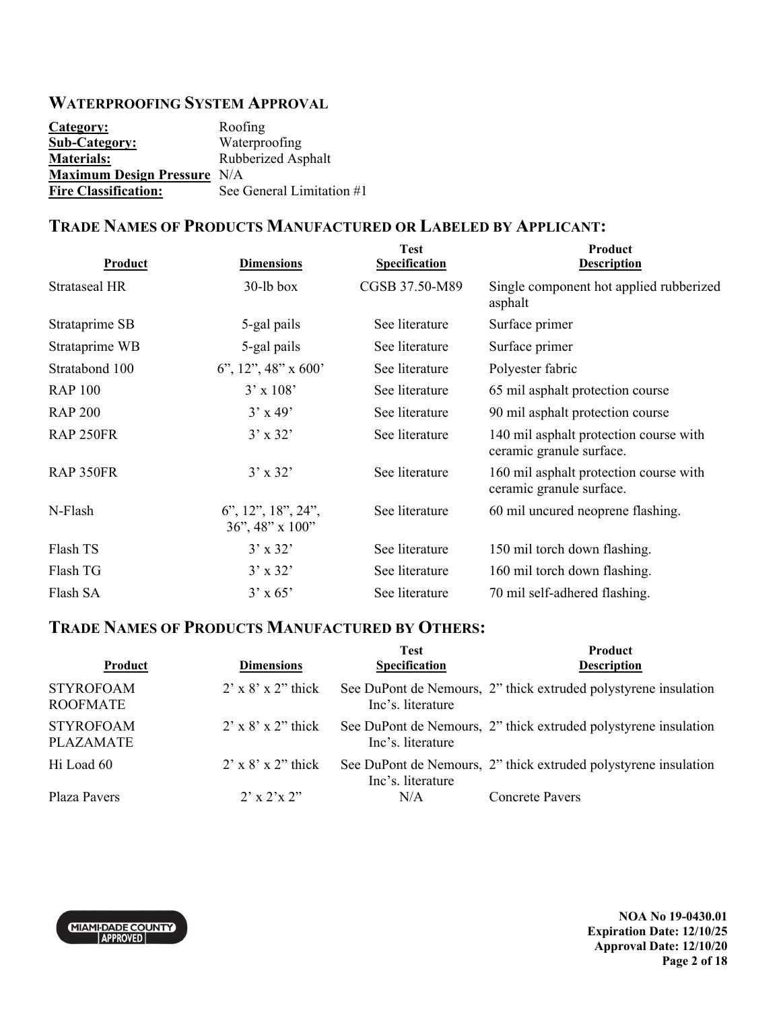### **WATERPROOFING SYSTEM APPROVAL**

| Category:                          | Roofing                   |
|------------------------------------|---------------------------|
| <b>Sub-Category:</b>               | Waterproofing             |
| <b>Materials:</b>                  | Rubberized Asphalt        |
| <b>Maximum Design Pressure N/A</b> |                           |
| <b>Fire Classification:</b>        | See General Limitation #1 |

#### **TRADE NAMES OF PRODUCTS MANUFACTURED OR LABELED BY APPLICANT:**

| <b>Product</b> | <b>Dimensions</b>                        | <b>Test</b><br><b>Specification</b> | Product<br><b>Description</b>                                      |
|----------------|------------------------------------------|-------------------------------------|--------------------------------------------------------------------|
| Strataseal HR  | $30$ -lb box                             | CGSB 37.50-M89                      | Single component hot applied rubberized<br>asphalt                 |
| Strataprime SB | 5-gal pails                              | See literature                      | Surface primer                                                     |
| Strataprime WB | 5-gal pails                              | See literature                      | Surface primer                                                     |
| Stratabond 100 | 6", 12", 48" x 600'                      | See literature                      | Polyester fabric                                                   |
| <b>RAP 100</b> | $3' \times 108'$                         | See literature                      | 65 mil asphalt protection course                                   |
| <b>RAP 200</b> | $3'$ x 49'                               | See literature                      | 90 mil asphalt protection course                                   |
| RAP 250FR      | $3' \times 32'$                          | See literature                      | 140 mil asphalt protection course with<br>ceramic granule surface. |
| RAP 350FR      | $3'$ x 32'                               | See literature                      | 160 mil asphalt protection course with<br>ceramic granule surface. |
| N-Flash        | $6$ ", 12", 18", 24",<br>36", 48" x 100" | See literature                      | 60 mil uncured neoprene flashing.                                  |
| Flash TS       | $3'$ x 32'                               | See literature                      | 150 mil torch down flashing.                                       |
| Flash TG       | $3'$ x 32'                               | See literature                      | 160 mil torch down flashing.                                       |
| Flash SA       | $3'$ x 65'                               | See literature                      | 70 mil self-adhered flashing.                                      |

### **TRADE NAMES OF PRODUCTS MANUFACTURED BY OTHERS:**

| Product                              | <b>Dimensions</b>               | <b>Test</b><br><b>Specification</b> | <b>Product</b><br><b>Description</b>                            |
|--------------------------------------|---------------------------------|-------------------------------------|-----------------------------------------------------------------|
| <b>STYROFOAM</b><br><b>ROOFMATE</b>  | $2' \times 8' \times 2'$ thick  | Inc's. literature                   | See DuPont de Nemours, 2" thick extruded polystyrene insulation |
| <b>STYROFOAM</b><br><b>PLAZAMATE</b> | $2' \times 8' \times 2'$ thick  | Inc's. literature                   | See DuPont de Nemours, 2" thick extruded polystyrene insulation |
| Hi Load 60                           | $2' \times 8' \times 2''$ thick | Inc's. literature                   | See DuPont de Nemours, 2" thick extruded polystyrene insulation |
| Plaza Pavers                         | $2' \times 2' \times 2''$       | N/A                                 | <b>Concrete Pavers</b>                                          |

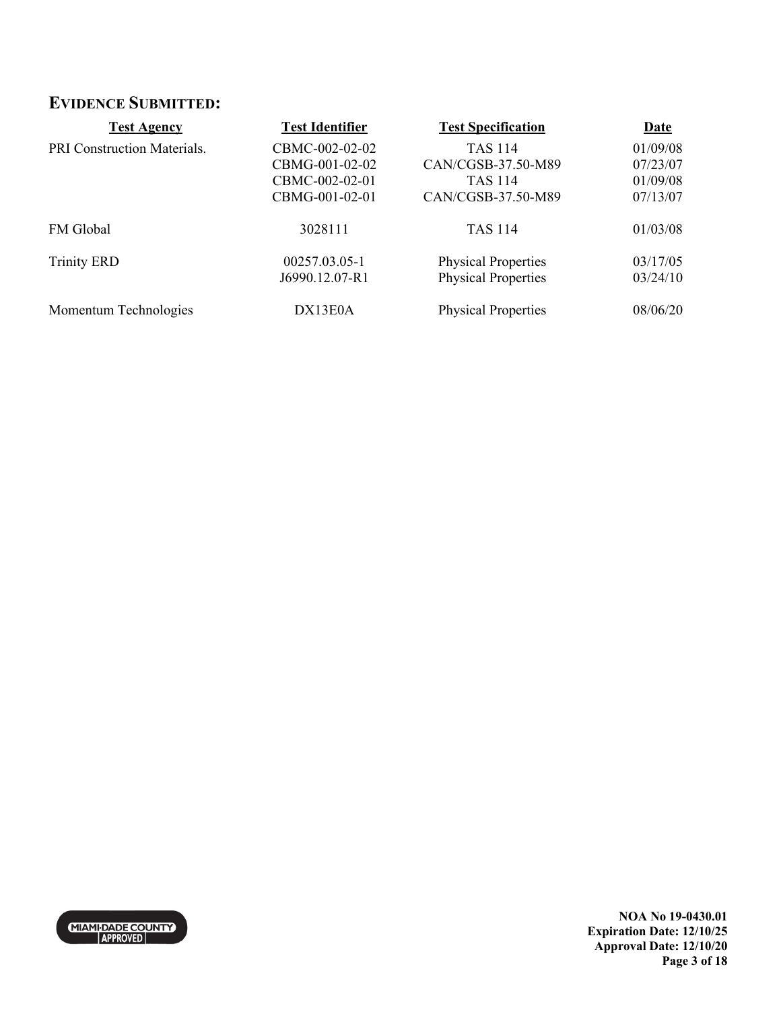### **EVIDENCE SUBMITTED:**

| <b>Test Agency</b>          | <b>Test Identifier</b> | <b>Test Specification</b>  | <b>Date</b> |
|-----------------------------|------------------------|----------------------------|-------------|
| PRI Construction Materials. | CBMC-002-02-02         | <b>TAS 114</b>             | 01/09/08    |
|                             | CBMG-001-02-02         | CAN/CGSB-37.50-M89         | 07/23/07    |
|                             | CBMC-002-02-01         | TAS 114                    | 01/09/08    |
|                             | CBMG-001-02-01         | CAN/CGSB-37.50-M89         | 07/13/07    |
| FM Global                   | 3028111                | <b>TAS 114</b>             | 01/03/08    |
| <b>Trinity ERD</b>          | 00257.03.05-1          | <b>Physical Properties</b> | 03/17/05    |
|                             | J6990.12.07-R1         | <b>Physical Properties</b> | 03/24/10    |
| Momentum Technologies       | DX13E0A                | <b>Physical Properties</b> | 08/06/20    |



**NOA No 19-0430.01 Expiration Date: 12/10/25 Approval Date: 12/10/20 Page 3 of 18**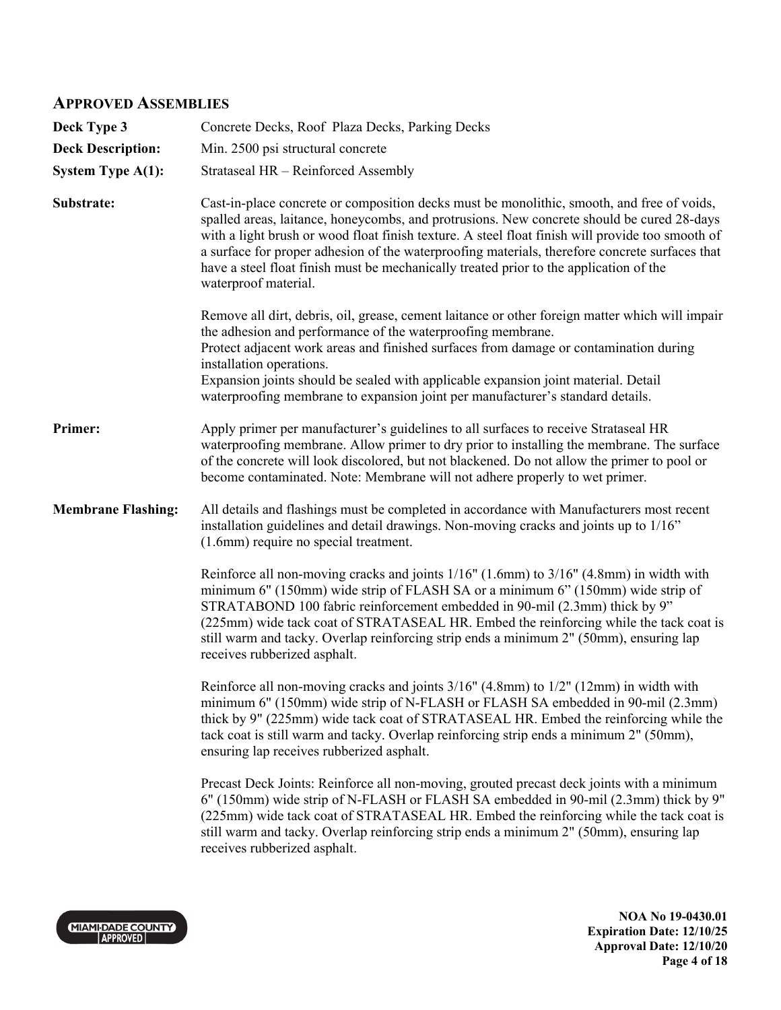#### **APPROVED ASSEMBLIES**

| Deck Type 3               | Concrete Decks, Roof Plaza Decks, Parking Decks                                                                                                                                                                                                                                                                                                                                                                                                                                                                  |
|---------------------------|------------------------------------------------------------------------------------------------------------------------------------------------------------------------------------------------------------------------------------------------------------------------------------------------------------------------------------------------------------------------------------------------------------------------------------------------------------------------------------------------------------------|
| <b>Deck Description:</b>  | Min. 2500 psi structural concrete                                                                                                                                                                                                                                                                                                                                                                                                                                                                                |
| <b>System Type A(1):</b>  | Strataseal HR - Reinforced Assembly                                                                                                                                                                                                                                                                                                                                                                                                                                                                              |
| Substrate:                | Cast-in-place concrete or composition decks must be monolithic, smooth, and free of voids,<br>spalled areas, laitance, honeycombs, and protrusions. New concrete should be cured 28-days<br>with a light brush or wood float finish texture. A steel float finish will provide too smooth of<br>a surface for proper adhesion of the waterproofing materials, therefore concrete surfaces that<br>have a steel float finish must be mechanically treated prior to the application of the<br>waterproof material. |
|                           | Remove all dirt, debris, oil, grease, cement laitance or other foreign matter which will impair<br>the adhesion and performance of the waterproofing membrane.<br>Protect adjacent work areas and finished surfaces from damage or contamination during<br>installation operations.<br>Expansion joints should be sealed with applicable expansion joint material. Detail<br>waterproofing membrane to expansion joint per manufacturer's standard details.                                                      |
| Primer:                   | Apply primer per manufacturer's guidelines to all surfaces to receive Strataseal HR<br>waterproofing membrane. Allow primer to dry prior to installing the membrane. The surface<br>of the concrete will look discolored, but not blackened. Do not allow the primer to pool or<br>become contaminated. Note: Membrane will not adhere properly to wet primer.                                                                                                                                                   |
| <b>Membrane Flashing:</b> | All details and flashings must be completed in accordance with Manufacturers most recent<br>installation guidelines and detail drawings. Non-moving cracks and joints up to 1/16"<br>(1.6mm) require no special treatment.                                                                                                                                                                                                                                                                                       |
|                           | Reinforce all non-moving cracks and joints 1/16" (1.6mm) to 3/16" (4.8mm) in width with<br>minimum 6" (150mm) wide strip of FLASH SA or a minimum 6" (150mm) wide strip of<br>STRATABOND 100 fabric reinforcement embedded in 90-mil (2.3mm) thick by 9"<br>(225mm) wide tack coat of STRATASEAL HR. Embed the reinforcing while the tack coat is<br>still warm and tacky. Overlap reinforcing strip ends a minimum 2" (50mm), ensuring lap<br>receives rubberized asphalt.                                      |
|                           | Reinforce all non-moving cracks and joints 3/16" (4.8mm) to 1/2" (12mm) in width with<br>minimum 6" (150mm) wide strip of N-FLASH or FLASH SA embedded in 90-mil (2.3mm)<br>thick by 9" (225mm) wide tack coat of STRATASEAL HR. Embed the reinforcing while the<br>tack coat is still warm and tacky. Overlap reinforcing strip ends a minimum 2" (50mm),<br>ensuring lap receives rubberized asphalt.                                                                                                          |
|                           | Precast Deck Joints: Reinforce all non-moving, grouted precast deck joints with a minimum<br>6" (150mm) wide strip of N-FLASH or FLASH SA embedded in 90-mil (2.3mm) thick by 9"<br>(225mm) wide tack coat of STRATASEAL HR. Embed the reinforcing while the tack coat is<br>still warm and tacky. Overlap reinforcing strip ends a minimum 2" (50mm), ensuring lap<br>receives rubberized asphalt.                                                                                                              |
|                           |                                                                                                                                                                                                                                                                                                                                                                                                                                                                                                                  |



**NOA No 19-0430.01 Expiration Date: 12/10/25 Approval Date: 12/10/20 Page 4 of 18**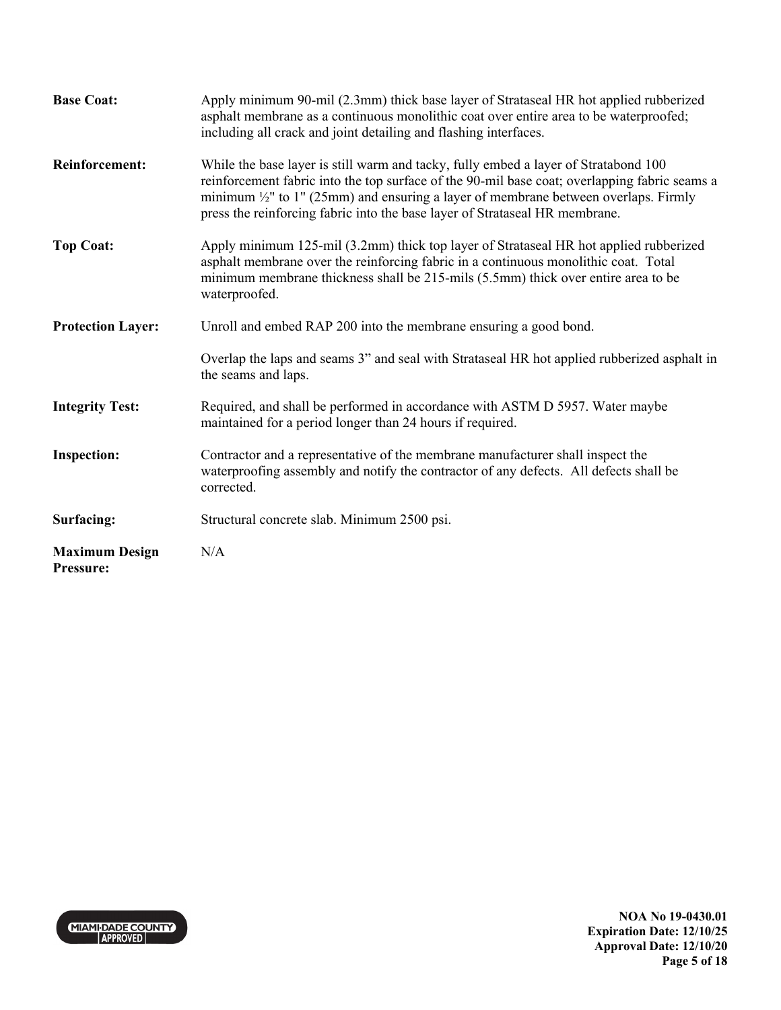| <b>Base Coat:</b>                  | Apply minimum 90-mil (2.3mm) thick base layer of Strataseal HR hot applied rubberized<br>asphalt membrane as a continuous monolithic coat over entire area to be waterproofed;<br>including all crack and joint detailing and flashing interfaces.                                                                                                                    |
|------------------------------------|-----------------------------------------------------------------------------------------------------------------------------------------------------------------------------------------------------------------------------------------------------------------------------------------------------------------------------------------------------------------------|
| <b>Reinforcement:</b>              | While the base layer is still warm and tacky, fully embed a layer of Stratabond 100<br>reinforcement fabric into the top surface of the 90-mil base coat; overlapping fabric seams a<br>minimum $\frac{1}{2}$ " to 1" (25mm) and ensuring a layer of membrane between overlaps. Firmly<br>press the reinforcing fabric into the base layer of Strataseal HR membrane. |
| <b>Top Coat:</b>                   | Apply minimum 125-mil (3.2mm) thick top layer of Strataseal HR hot applied rubberized<br>asphalt membrane over the reinforcing fabric in a continuous monolithic coat. Total<br>minimum membrane thickness shall be 215-mils (5.5mm) thick over entire area to be<br>waterproofed.                                                                                    |
| <b>Protection Layer:</b>           | Unroll and embed RAP 200 into the membrane ensuring a good bond.                                                                                                                                                                                                                                                                                                      |
|                                    | Overlap the laps and seams 3" and seal with Strataseal HR hot applied rubberized asphalt in<br>the seams and laps.                                                                                                                                                                                                                                                    |
| <b>Integrity Test:</b>             | Required, and shall be performed in accordance with ASTM D 5957. Water maybe<br>maintained for a period longer than 24 hours if required.                                                                                                                                                                                                                             |
| <b>Inspection:</b>                 | Contractor and a representative of the membrane manufacturer shall inspect the<br>waterproofing assembly and notify the contractor of any defects. All defects shall be<br>corrected.                                                                                                                                                                                 |
| Surfacing:                         | Structural concrete slab. Minimum 2500 psi.                                                                                                                                                                                                                                                                                                                           |
| <b>Maximum Design</b><br>Pressure: | N/A                                                                                                                                                                                                                                                                                                                                                                   |

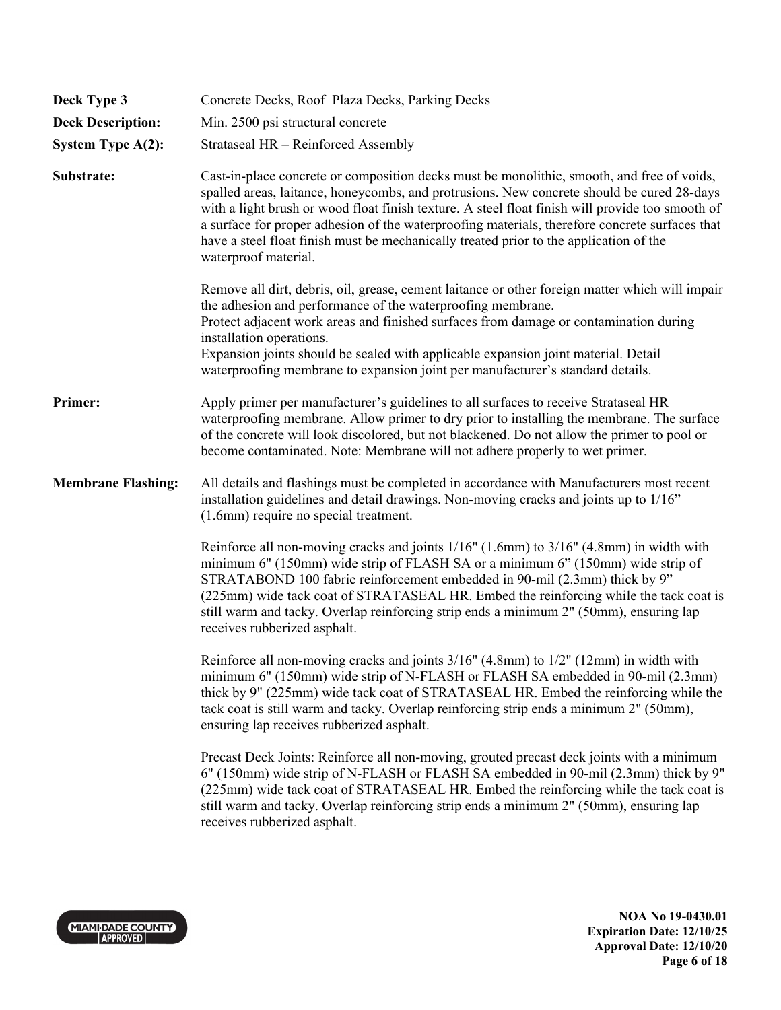| Deck Type 3               | Concrete Decks, Roof Plaza Decks, Parking Decks                                                                                                                                                                                                                                                                                                                                                                                                                                                                  |
|---------------------------|------------------------------------------------------------------------------------------------------------------------------------------------------------------------------------------------------------------------------------------------------------------------------------------------------------------------------------------------------------------------------------------------------------------------------------------------------------------------------------------------------------------|
| <b>Deck Description:</b>  | Min. 2500 psi structural concrete                                                                                                                                                                                                                                                                                                                                                                                                                                                                                |
| <b>System Type A(2):</b>  | Strataseal HR - Reinforced Assembly                                                                                                                                                                                                                                                                                                                                                                                                                                                                              |
| Substrate:                | Cast-in-place concrete or composition decks must be monolithic, smooth, and free of voids,<br>spalled areas, laitance, honeycombs, and protrusions. New concrete should be cured 28-days<br>with a light brush or wood float finish texture. A steel float finish will provide too smooth of<br>a surface for proper adhesion of the waterproofing materials, therefore concrete surfaces that<br>have a steel float finish must be mechanically treated prior to the application of the<br>waterproof material. |
|                           | Remove all dirt, debris, oil, grease, cement laitance or other foreign matter which will impair<br>the adhesion and performance of the waterproofing membrane.<br>Protect adjacent work areas and finished surfaces from damage or contamination during<br>installation operations.<br>Expansion joints should be sealed with applicable expansion joint material. Detail<br>waterproofing membrane to expansion joint per manufacturer's standard details.                                                      |
| Primer:                   | Apply primer per manufacturer's guidelines to all surfaces to receive Strataseal HR<br>waterproofing membrane. Allow primer to dry prior to installing the membrane. The surface<br>of the concrete will look discolored, but not blackened. Do not allow the primer to pool or<br>become contaminated. Note: Membrane will not adhere properly to wet primer.                                                                                                                                                   |
| <b>Membrane Flashing:</b> | All details and flashings must be completed in accordance with Manufacturers most recent<br>installation guidelines and detail drawings. Non-moving cracks and joints up to 1/16"<br>(1.6mm) require no special treatment.                                                                                                                                                                                                                                                                                       |
|                           | Reinforce all non-moving cracks and joints 1/16" (1.6mm) to 3/16" (4.8mm) in width with<br>minimum 6" (150mm) wide strip of FLASH SA or a minimum 6" (150mm) wide strip of<br>STRATABOND 100 fabric reinforcement embedded in 90-mil (2.3mm) thick by 9"<br>(225mm) wide tack coat of STRATASEAL HR. Embed the reinforcing while the tack coat is<br>still warm and tacky. Overlap reinforcing strip ends a minimum 2" (50mm), ensuring lap<br>receives rubberized asphalt.                                      |
|                           | Reinforce all non-moving cracks and joints 3/16" (4.8mm) to 1/2" (12mm) in width with<br>minimum 6" (150mm) wide strip of N-FLASH or FLASH SA embedded in 90-mil (2.3mm)<br>thick by 9" (225mm) wide tack coat of STRATASEAL HR. Embed the reinforcing while the<br>tack coat is still warm and tacky. Overlap reinforcing strip ends a minimum 2" (50mm),<br>ensuring lap receives rubberized asphalt.                                                                                                          |
|                           | Precast Deck Joints: Reinforce all non-moving, grouted precast deck joints with a minimum<br>6" (150mm) wide strip of N-FLASH or FLASH SA embedded in 90-mil (2.3mm) thick by 9"<br>(225mm) wide tack coat of STRATASEAL HR. Embed the reinforcing while the tack coat is<br>still warm and tacky. Overlap reinforcing strip ends a minimum 2" (50mm), ensuring lap<br>receives rubberized asphalt.                                                                                                              |

MIAMI-DADE COUNTY

**NOA No 19-0430.01 Expiration Date: 12/10/25 Approval Date: 12/10/20 Page 6 of 18**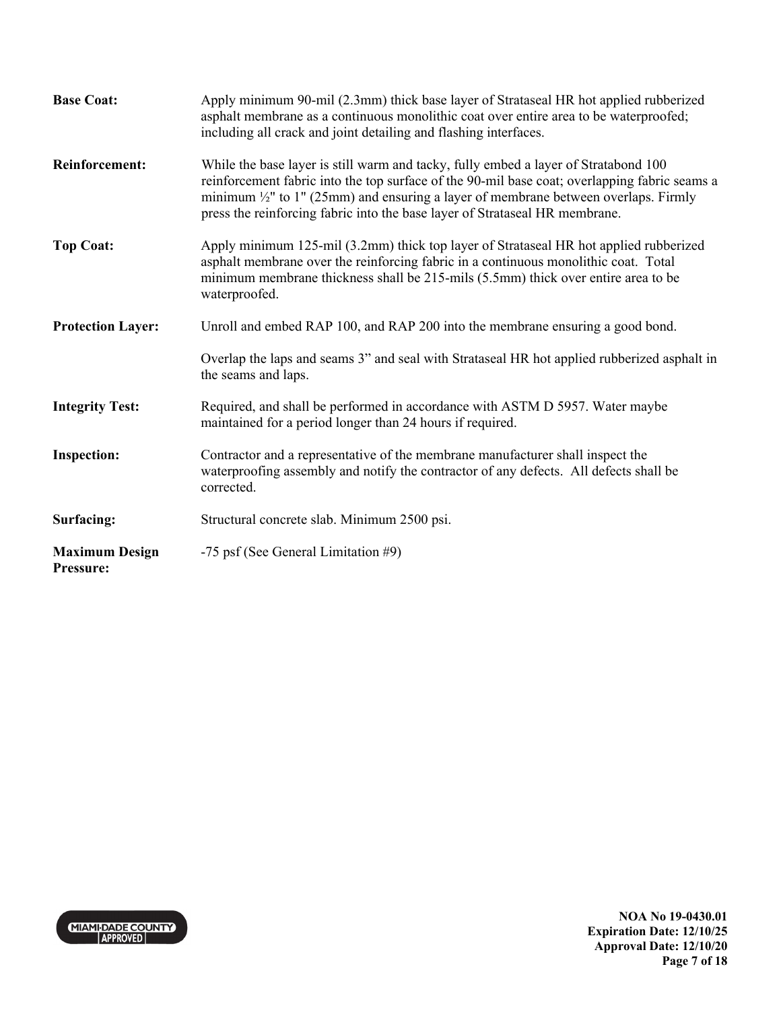| <b>Base Coat:</b>                         | Apply minimum 90-mil (2.3mm) thick base layer of Strataseal HR hot applied rubberized<br>asphalt membrane as a continuous monolithic coat over entire area to be waterproofed;<br>including all crack and joint detailing and flashing interfaces.                                                                                                                    |
|-------------------------------------------|-----------------------------------------------------------------------------------------------------------------------------------------------------------------------------------------------------------------------------------------------------------------------------------------------------------------------------------------------------------------------|
| <b>Reinforcement:</b>                     | While the base layer is still warm and tacky, fully embed a layer of Stratabond 100<br>reinforcement fabric into the top surface of the 90-mil base coat; overlapping fabric seams a<br>minimum $\frac{1}{2}$ " to 1" (25mm) and ensuring a layer of membrane between overlaps. Firmly<br>press the reinforcing fabric into the base layer of Strataseal HR membrane. |
| <b>Top Coat:</b>                          | Apply minimum 125-mil (3.2mm) thick top layer of Strataseal HR hot applied rubberized<br>asphalt membrane over the reinforcing fabric in a continuous monolithic coat. Total<br>minimum membrane thickness shall be 215-mils (5.5mm) thick over entire area to be<br>waterproofed.                                                                                    |
| <b>Protection Layer:</b>                  | Unroll and embed RAP 100, and RAP 200 into the membrane ensuring a good bond.                                                                                                                                                                                                                                                                                         |
|                                           | Overlap the laps and seams 3" and seal with Strataseal HR hot applied rubberized asphalt in<br>the seams and laps.                                                                                                                                                                                                                                                    |
| <b>Integrity Test:</b>                    | Required, and shall be performed in accordance with ASTM D 5957. Water maybe<br>maintained for a period longer than 24 hours if required.                                                                                                                                                                                                                             |
| <b>Inspection:</b>                        | Contractor and a representative of the membrane manufacturer shall inspect the<br>waterproofing assembly and notify the contractor of any defects. All defects shall be<br>corrected.                                                                                                                                                                                 |
| Surfacing:                                | Structural concrete slab. Minimum 2500 psi.                                                                                                                                                                                                                                                                                                                           |
| <b>Maximum Design</b><br><b>Pressure:</b> | -75 psf (See General Limitation #9)                                                                                                                                                                                                                                                                                                                                   |

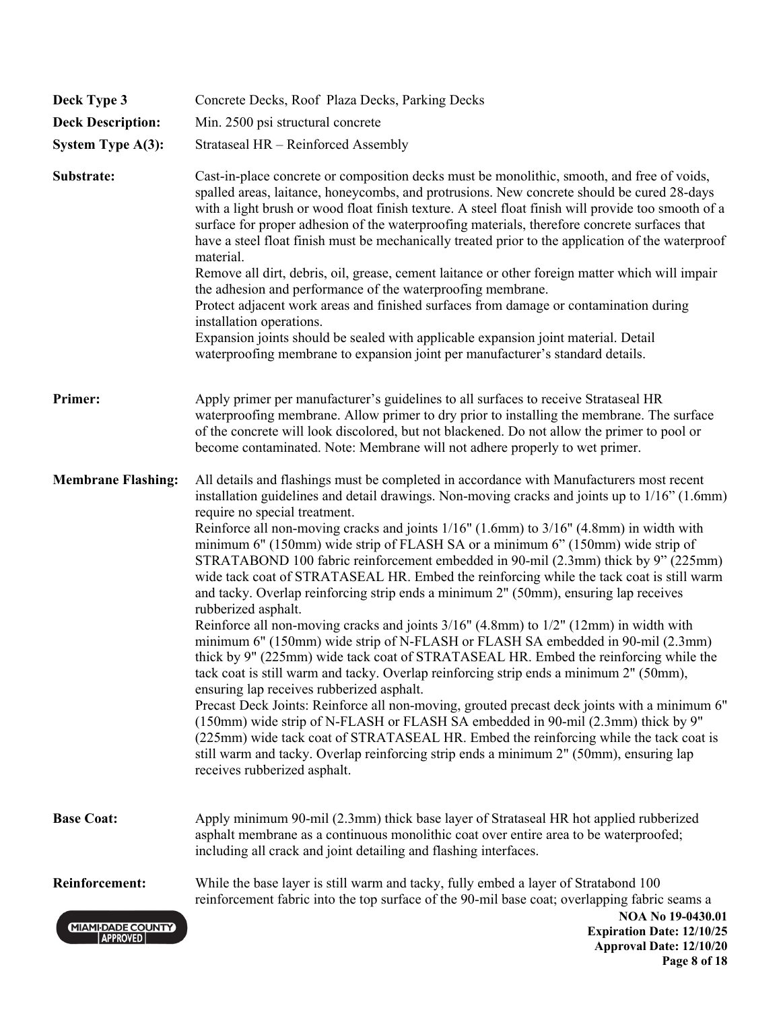| Deck Type 3                                 | Concrete Decks, Roof Plaza Decks, Parking Decks                                                                                                                                                                                                                                                                                                                                                                                                                                                                                                                                                                                                                                                                                                                                                                                                                                                                                                                                                                                                                                                                                                                                                                                                                                                                                                                                                                                                                                                                                   |
|---------------------------------------------|-----------------------------------------------------------------------------------------------------------------------------------------------------------------------------------------------------------------------------------------------------------------------------------------------------------------------------------------------------------------------------------------------------------------------------------------------------------------------------------------------------------------------------------------------------------------------------------------------------------------------------------------------------------------------------------------------------------------------------------------------------------------------------------------------------------------------------------------------------------------------------------------------------------------------------------------------------------------------------------------------------------------------------------------------------------------------------------------------------------------------------------------------------------------------------------------------------------------------------------------------------------------------------------------------------------------------------------------------------------------------------------------------------------------------------------------------------------------------------------------------------------------------------------|
| <b>Deck Description:</b>                    | Min. 2500 psi structural concrete                                                                                                                                                                                                                                                                                                                                                                                                                                                                                                                                                                                                                                                                                                                                                                                                                                                                                                                                                                                                                                                                                                                                                                                                                                                                                                                                                                                                                                                                                                 |
| <b>System Type A(3):</b>                    | Strataseal HR - Reinforced Assembly                                                                                                                                                                                                                                                                                                                                                                                                                                                                                                                                                                                                                                                                                                                                                                                                                                                                                                                                                                                                                                                                                                                                                                                                                                                                                                                                                                                                                                                                                               |
| Substrate:                                  | Cast-in-place concrete or composition decks must be monolithic, smooth, and free of voids,<br>spalled areas, laitance, honeycombs, and protrusions. New concrete should be cured 28-days<br>with a light brush or wood float finish texture. A steel float finish will provide too smooth of a<br>surface for proper adhesion of the waterproofing materials, therefore concrete surfaces that<br>have a steel float finish must be mechanically treated prior to the application of the waterproof<br>material.<br>Remove all dirt, debris, oil, grease, cement laitance or other foreign matter which will impair<br>the adhesion and performance of the waterproofing membrane.<br>Protect adjacent work areas and finished surfaces from damage or contamination during<br>installation operations.<br>Expansion joints should be sealed with applicable expansion joint material. Detail<br>waterproofing membrane to expansion joint per manufacturer's standard details.                                                                                                                                                                                                                                                                                                                                                                                                                                                                                                                                                   |
| Primer:                                     | Apply primer per manufacturer's guidelines to all surfaces to receive Strataseal HR<br>waterproofing membrane. Allow primer to dry prior to installing the membrane. The surface<br>of the concrete will look discolored, but not blackened. Do not allow the primer to pool or<br>become contaminated. Note: Membrane will not adhere properly to wet primer.                                                                                                                                                                                                                                                                                                                                                                                                                                                                                                                                                                                                                                                                                                                                                                                                                                                                                                                                                                                                                                                                                                                                                                    |
| <b>Membrane Flashing:</b>                   | All details and flashings must be completed in accordance with Manufacturers most recent<br>installation guidelines and detail drawings. Non-moving cracks and joints up to 1/16" (1.6mm)<br>require no special treatment.<br>Reinforce all non-moving cracks and joints 1/16" (1.6mm) to 3/16" (4.8mm) in width with<br>minimum 6" (150mm) wide strip of FLASH SA or a minimum 6" (150mm) wide strip of<br>STRATABOND 100 fabric reinforcement embedded in 90-mil (2.3mm) thick by 9" (225mm)<br>wide tack coat of STRATASEAL HR. Embed the reinforcing while the tack coat is still warm<br>and tacky. Overlap reinforcing strip ends a minimum 2" (50mm), ensuring lap receives<br>rubberized asphalt.<br>Reinforce all non-moving cracks and joints $3/16$ " (4.8mm) to $1/2$ " (12mm) in width with<br>minimum 6" (150mm) wide strip of N-FLASH or FLASH SA embedded in 90-mil (2.3mm)<br>thick by 9" (225mm) wide tack coat of STRATASEAL HR. Embed the reinforcing while the<br>tack coat is still warm and tacky. Overlap reinforcing strip ends a minimum 2" (50mm),<br>ensuring lap receives rubberized asphalt.<br>Precast Deck Joints: Reinforce all non-moving, grouted precast deck joints with a minimum 6"<br>(150mm) wide strip of N-FLASH or FLASH SA embedded in 90-mil (2.3mm) thick by 9"<br>(225mm) wide tack coat of STRATASEAL HR. Embed the reinforcing while the tack coat is<br>still warm and tacky. Overlap reinforcing strip ends a minimum 2" (50mm), ensuring lap<br>receives rubberized asphalt. |
| <b>Base Coat:</b>                           | Apply minimum 90-mil (2.3mm) thick base layer of Strataseal HR hot applied rubberized<br>asphalt membrane as a continuous monolithic coat over entire area to be waterproofed;<br>including all crack and joint detailing and flashing interfaces.                                                                                                                                                                                                                                                                                                                                                                                                                                                                                                                                                                                                                                                                                                                                                                                                                                                                                                                                                                                                                                                                                                                                                                                                                                                                                |
| <b>Reinforcement:</b>                       | While the base layer is still warm and tacky, fully embed a layer of Stratabond 100<br>reinforcement fabric into the top surface of the 90-mil base coat; overlapping fabric seams a                                                                                                                                                                                                                                                                                                                                                                                                                                                                                                                                                                                                                                                                                                                                                                                                                                                                                                                                                                                                                                                                                                                                                                                                                                                                                                                                              |
| <b>MIAMI-DADE COUNTY</b><br><b>APPROVED</b> | NOA No 19-0430.01<br><b>Expiration Date: 12/10/25</b><br><b>Approval Date: 12/10/20</b>                                                                                                                                                                                                                                                                                                                                                                                                                                                                                                                                                                                                                                                                                                                                                                                                                                                                                                                                                                                                                                                                                                                                                                                                                                                                                                                                                                                                                                           |

#### **Page 8 of 18**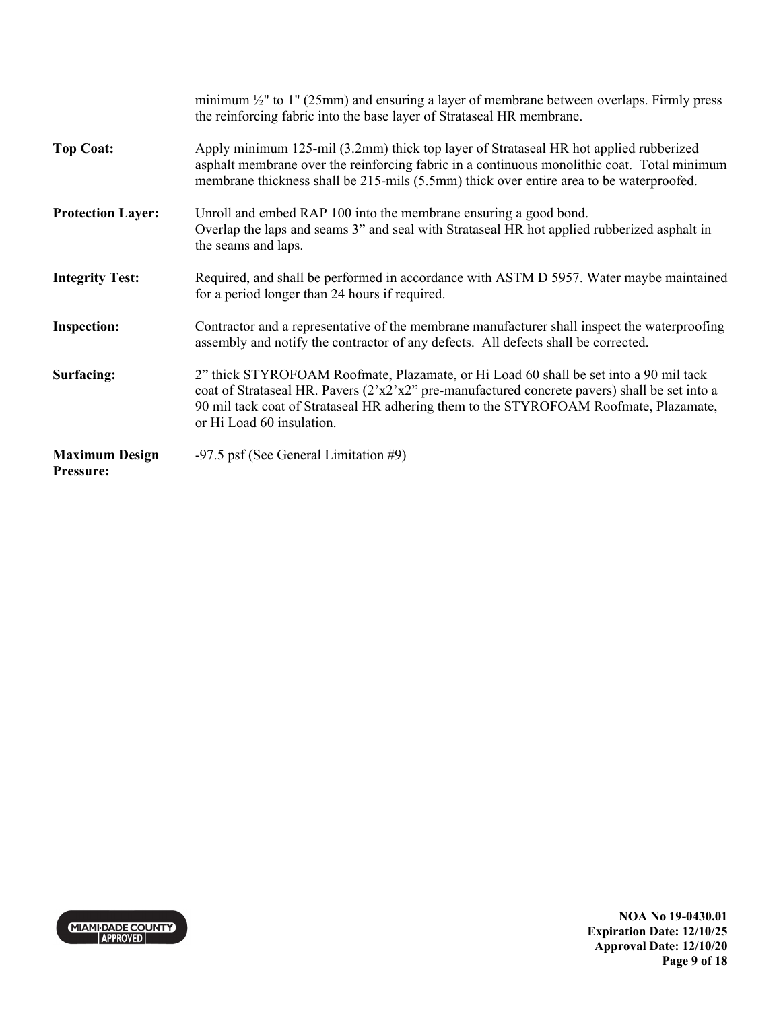|                                           | minimum $\frac{1}{2}$ " to 1" (25mm) and ensuring a layer of membrane between overlaps. Firmly press<br>the reinforcing fabric into the base layer of Strataseal HR membrane.                                                                                                                                    |
|-------------------------------------------|------------------------------------------------------------------------------------------------------------------------------------------------------------------------------------------------------------------------------------------------------------------------------------------------------------------|
| <b>Top Coat:</b>                          | Apply minimum 125-mil (3.2mm) thick top layer of Strataseal HR hot applied rubberized<br>asphalt membrane over the reinforcing fabric in a continuous monolithic coat. Total minimum<br>membrane thickness shall be 215-mils (5.5mm) thick over entire area to be waterproofed.                                  |
| <b>Protection Layer:</b>                  | Unroll and embed RAP 100 into the membrane ensuring a good bond.<br>Overlap the laps and seams 3" and seal with Strataseal HR hot applied rubberized asphalt in<br>the seams and laps.                                                                                                                           |
| <b>Integrity Test:</b>                    | Required, and shall be performed in accordance with ASTM D 5957. Water maybe maintained<br>for a period longer than 24 hours if required.                                                                                                                                                                        |
| <b>Inspection:</b>                        | Contractor and a representative of the membrane manufacturer shall inspect the waterproofing<br>assembly and notify the contractor of any defects. All defects shall be corrected.                                                                                                                               |
| Surfacing:                                | 2" thick STYROFOAM Roofmate, Plazamate, or Hi Load 60 shall be set into a 90 mil tack<br>coat of Strataseal HR. Pavers $(2'x2'x2'')$ pre-manufactured concrete pavers) shall be set into a<br>90 mil tack coat of Strataseal HR adhering them to the STYROFOAM Roofmate, Plazamate,<br>or Hi Load 60 insulation. |
| <b>Maximum Design</b><br><b>Pressure:</b> | $-97.5$ psf (See General Limitation #9)                                                                                                                                                                                                                                                                          |



**NOA No 19-0430.01 Expiration Date: 12/10/25 Approval Date: 12/10/20 Page 9 of 18**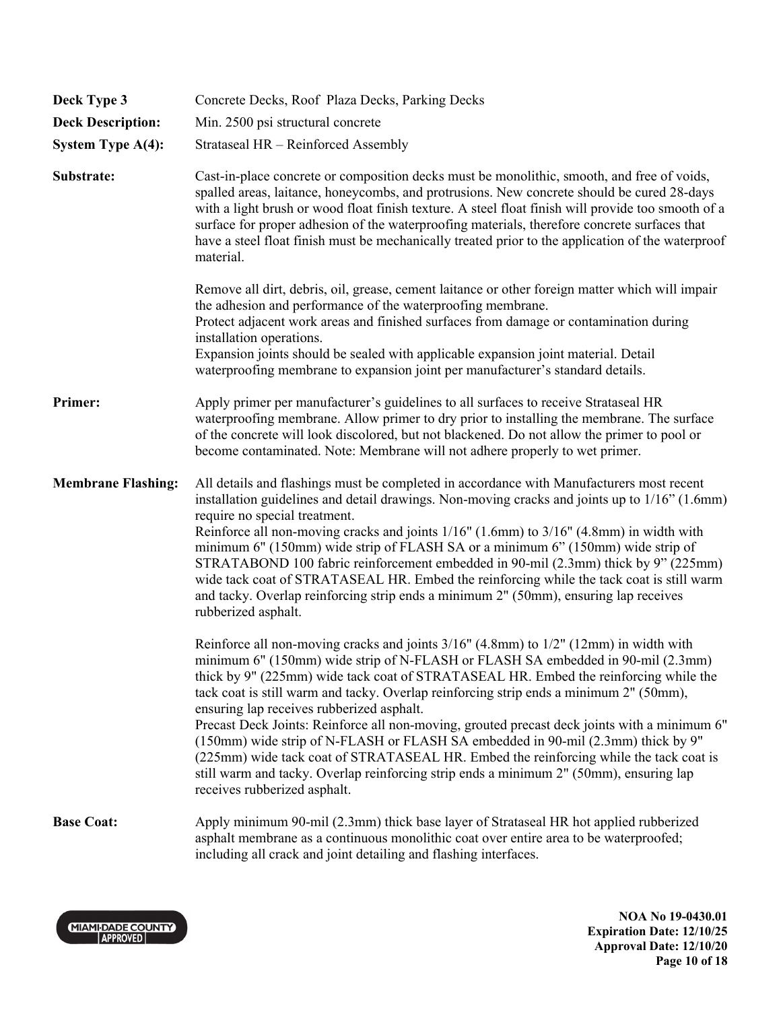| Deck Type 3               | Concrete Decks, Roof Plaza Decks, Parking Decks                                                                                                                                                                                                                                                                                                                                                                                                                                                                                                                                                                                                                                                                                                                                                                |
|---------------------------|----------------------------------------------------------------------------------------------------------------------------------------------------------------------------------------------------------------------------------------------------------------------------------------------------------------------------------------------------------------------------------------------------------------------------------------------------------------------------------------------------------------------------------------------------------------------------------------------------------------------------------------------------------------------------------------------------------------------------------------------------------------------------------------------------------------|
| <b>Deck Description:</b>  | Min. 2500 psi structural concrete                                                                                                                                                                                                                                                                                                                                                                                                                                                                                                                                                                                                                                                                                                                                                                              |
| <b>System Type A(4):</b>  | Strataseal HR - Reinforced Assembly                                                                                                                                                                                                                                                                                                                                                                                                                                                                                                                                                                                                                                                                                                                                                                            |
| Substrate:                | Cast-in-place concrete or composition decks must be monolithic, smooth, and free of voids,<br>spalled areas, laitance, honeycombs, and protrusions. New concrete should be cured 28-days<br>with a light brush or wood float finish texture. A steel float finish will provide too smooth of a<br>surface for proper adhesion of the waterproofing materials, therefore concrete surfaces that<br>have a steel float finish must be mechanically treated prior to the application of the waterproof<br>material.                                                                                                                                                                                                                                                                                               |
|                           | Remove all dirt, debris, oil, grease, cement laitance or other foreign matter which will impair<br>the adhesion and performance of the waterproofing membrane.<br>Protect adjacent work areas and finished surfaces from damage or contamination during<br>installation operations.<br>Expansion joints should be sealed with applicable expansion joint material. Detail                                                                                                                                                                                                                                                                                                                                                                                                                                      |
|                           | waterproofing membrane to expansion joint per manufacturer's standard details.                                                                                                                                                                                                                                                                                                                                                                                                                                                                                                                                                                                                                                                                                                                                 |
| Primer:                   | Apply primer per manufacturer's guidelines to all surfaces to receive Strataseal HR<br>waterproofing membrane. Allow primer to dry prior to installing the membrane. The surface<br>of the concrete will look discolored, but not blackened. Do not allow the primer to pool or<br>become contaminated. Note: Membrane will not adhere properly to wet primer.                                                                                                                                                                                                                                                                                                                                                                                                                                                 |
| <b>Membrane Flashing:</b> | All details and flashings must be completed in accordance with Manufacturers most recent<br>installation guidelines and detail drawings. Non-moving cracks and joints up to 1/16" (1.6mm)<br>require no special treatment.<br>Reinforce all non-moving cracks and joints 1/16" (1.6mm) to 3/16" (4.8mm) in width with<br>minimum 6" (150mm) wide strip of FLASH SA or a minimum 6" (150mm) wide strip of<br>STRATABOND 100 fabric reinforcement embedded in 90-mil (2.3mm) thick by 9" (225mm)<br>wide tack coat of STRATASEAL HR. Embed the reinforcing while the tack coat is still warm<br>and tacky. Overlap reinforcing strip ends a minimum 2" (50mm), ensuring lap receives<br>rubberized asphalt.                                                                                                      |
|                           | Reinforce all non-moving cracks and joints 3/16" (4.8mm) to 1/2" (12mm) in width with<br>minimum 6" (150mm) wide strip of N-FLASH or FLASH SA embedded in 90-mil (2.3mm)<br>thick by 9" (225mm) wide tack coat of STRATASEAL HR. Embed the reinforcing while the<br>tack coat is still warm and tacky. Overlap reinforcing strip ends a minimum 2" (50mm),<br>ensuring lap receives rubberized asphalt.<br>Precast Deck Joints: Reinforce all non-moving, grouted precast deck joints with a minimum 6"<br>(150mm) wide strip of N-FLASH or FLASH SA embedded in 90-mil (2.3mm) thick by 9"<br>(225mm) wide tack coat of STRATASEAL HR. Embed the reinforcing while the tack coat is<br>still warm and tacky. Overlap reinforcing strip ends a minimum 2" (50mm), ensuring lap<br>receives rubberized asphalt. |
| <b>Base Coat:</b>         | Apply minimum 90-mil (2.3mm) thick base layer of Strataseal HR hot applied rubberized<br>asphalt membrane as a continuous monolithic coat over entire area to be waterproofed;<br>including all crack and joint detailing and flashing interfaces.                                                                                                                                                                                                                                                                                                                                                                                                                                                                                                                                                             |



**NOA No 19-0430.01 Expiration Date: 12/10/25 Approval Date: 12/10/20 Page 10 of 18**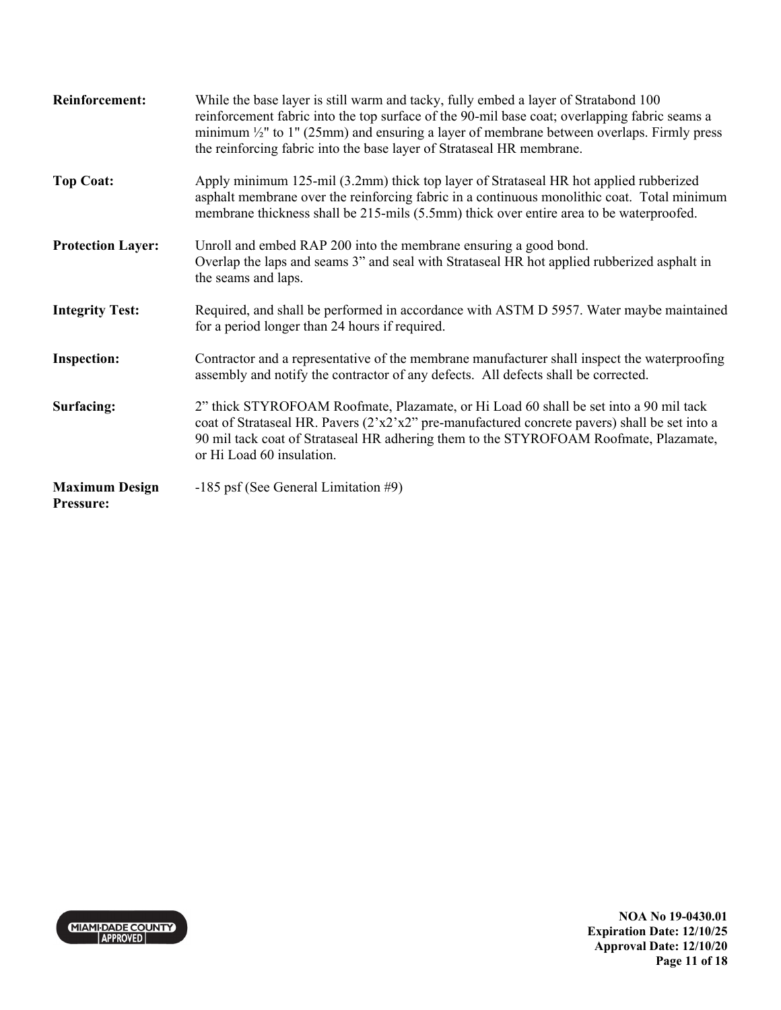| <b>Reinforcement:</b>              | While the base layer is still warm and tacky, fully embed a layer of Stratabond 100<br>reinforcement fabric into the top surface of the 90-mil base coat; overlapping fabric seams a<br>minimum $\frac{1}{2}$ " to 1" (25mm) and ensuring a layer of membrane between overlaps. Firmly press<br>the reinforcing fabric into the base layer of Strataseal HR membrane. |
|------------------------------------|-----------------------------------------------------------------------------------------------------------------------------------------------------------------------------------------------------------------------------------------------------------------------------------------------------------------------------------------------------------------------|
| <b>Top Coat:</b>                   | Apply minimum 125-mil (3.2mm) thick top layer of Strataseal HR hot applied rubberized<br>asphalt membrane over the reinforcing fabric in a continuous monolithic coat. Total minimum<br>membrane thickness shall be 215-mils (5.5mm) thick over entire area to be waterproofed.                                                                                       |
| <b>Protection Layer:</b>           | Unroll and embed RAP 200 into the membrane ensuring a good bond.<br>Overlap the laps and seams 3" and seal with Strataseal HR hot applied rubberized asphalt in<br>the seams and laps.                                                                                                                                                                                |
| <b>Integrity Test:</b>             | Required, and shall be performed in accordance with ASTM D 5957. Water maybe maintained<br>for a period longer than 24 hours if required.                                                                                                                                                                                                                             |
| <b>Inspection:</b>                 | Contractor and a representative of the membrane manufacturer shall inspect the waterproofing<br>assembly and notify the contractor of any defects. All defects shall be corrected.                                                                                                                                                                                    |
| Surfacing:                         | 2" thick STYROFOAM Roofmate, Plazamate, or Hi Load 60 shall be set into a 90 mil tack<br>coat of Strataseal HR. Pavers $(2'x2'x2'')$ pre-manufactured concrete pavers) shall be set into a<br>90 mil tack coat of Strataseal HR adhering them to the STYROFOAM Roofmate, Plazamate,<br>or Hi Load 60 insulation.                                                      |
| <b>Maximum Design</b><br>Pressure: | -185 psf (See General Limitation #9)                                                                                                                                                                                                                                                                                                                                  |

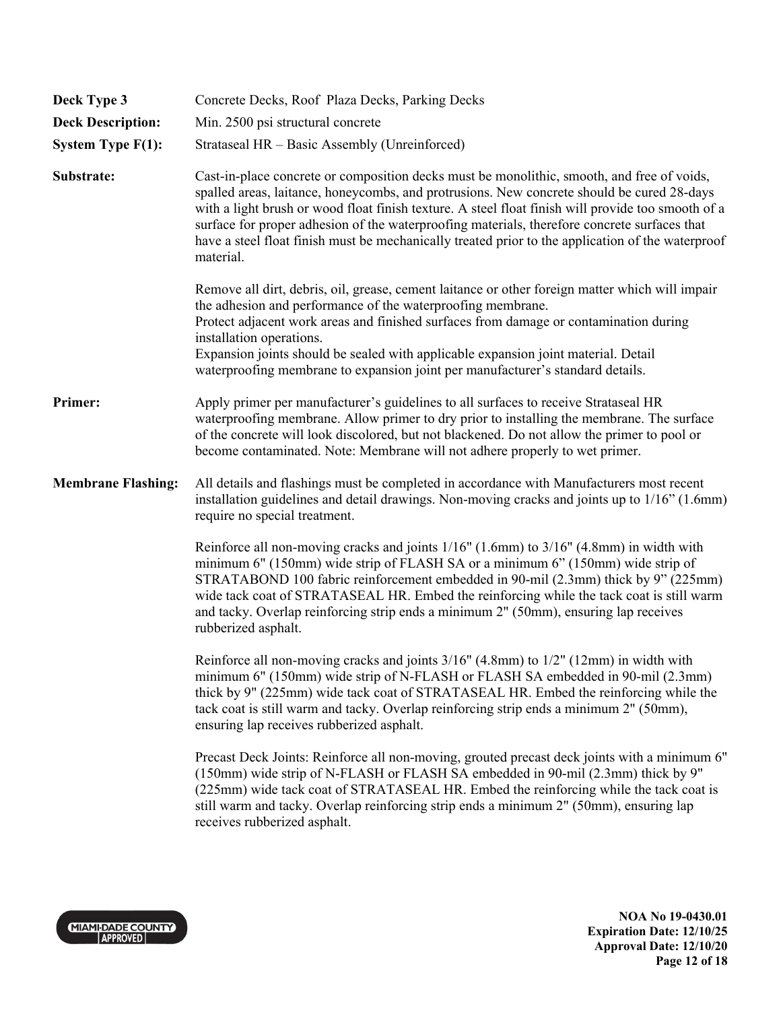| Deck Type 3               | Concrete Decks, Roof Plaza Decks, Parking Decks                                                                                                                                                                                                                                                                                                                                                                                                                                                                  |
|---------------------------|------------------------------------------------------------------------------------------------------------------------------------------------------------------------------------------------------------------------------------------------------------------------------------------------------------------------------------------------------------------------------------------------------------------------------------------------------------------------------------------------------------------|
| <b>Deck Description:</b>  | Min. 2500 psi structural concrete                                                                                                                                                                                                                                                                                                                                                                                                                                                                                |
| <b>System Type F(1):</b>  | Strataseal HR - Basic Assembly (Unreinforced)                                                                                                                                                                                                                                                                                                                                                                                                                                                                    |
| Substrate:                | Cast-in-place concrete or composition decks must be monolithic, smooth, and free of voids,<br>spalled areas, laitance, honeycombs, and protrusions. New concrete should be cured 28-days<br>with a light brush or wood float finish texture. A steel float finish will provide too smooth of a<br>surface for proper adhesion of the waterproofing materials, therefore concrete surfaces that<br>have a steel float finish must be mechanically treated prior to the application of the waterproof<br>material. |
|                           | Remove all dirt, debris, oil, grease, cement laitance or other foreign matter which will impair<br>the adhesion and performance of the waterproofing membrane.<br>Protect adjacent work areas and finished surfaces from damage or contamination during<br>installation operations.<br>Expansion joints should be sealed with applicable expansion joint material. Detail<br>waterproofing membrane to expansion joint per manufacturer's standard details.                                                      |
| Primer:                   | Apply primer per manufacturer's guidelines to all surfaces to receive Strataseal HR<br>waterproofing membrane. Allow primer to dry prior to installing the membrane. The surface<br>of the concrete will look discolored, but not blackened. Do not allow the primer to pool or<br>become contaminated. Note: Membrane will not adhere properly to wet primer.                                                                                                                                                   |
| <b>Membrane Flashing:</b> | All details and flashings must be completed in accordance with Manufacturers most recent<br>installation guidelines and detail drawings. Non-moving cracks and joints up to 1/16" (1.6mm)<br>require no special treatment.                                                                                                                                                                                                                                                                                       |
|                           | Reinforce all non-moving cracks and joints 1/16" (1.6mm) to 3/16" (4.8mm) in width with<br>minimum 6" (150mm) wide strip of FLASH SA or a minimum 6" (150mm) wide strip of<br>STRATABOND 100 fabric reinforcement embedded in 90-mil (2.3mm) thick by 9" (225mm)<br>wide tack coat of STRATASEAL HR. Embed the reinforcing while the tack coat is still warm<br>and tacky. Overlap reinforcing strip ends a minimum 2" (50mm), ensuring lap receives<br>rubberized asphalt.                                      |
|                           | Reinforce all non-moving cracks and joints 3/16" (4.8mm) to 1/2" (12mm) in width with<br>minimum 6" (150mm) wide strip of N-FLASH or FLASH SA embedded in 90-mil (2.3mm)<br>thick by 9" (225mm) wide tack coat of STRATASEAL HR. Embed the reinforcing while the<br>tack coat is still warm and tacky. Overlap reinforcing strip ends a minimum 2" (50mm),<br>ensuring lap receives rubberized asphalt.                                                                                                          |
|                           | Precast Deck Joints: Reinforce all non-moving, grouted precast deck joints with a minimum 6"<br>(150mm) wide strip of N-FLASH or FLASH SA embedded in 90-mil (2.3mm) thick by 9"<br>(225mm) wide tack coat of STRATASEAL HR. Embed the reinforcing while the tack coat is<br>still warm and tacky. Overlap reinforcing strip ends a minimum 2" (50mm), ensuring lap<br>receives rubberized asphalt.                                                                                                              |

MIAMI-DADE COUNTY

**NOA No 19-0430.01 Expiration Date: 12/10/25 Approval Date: 12/10/20 Page 12 of 18**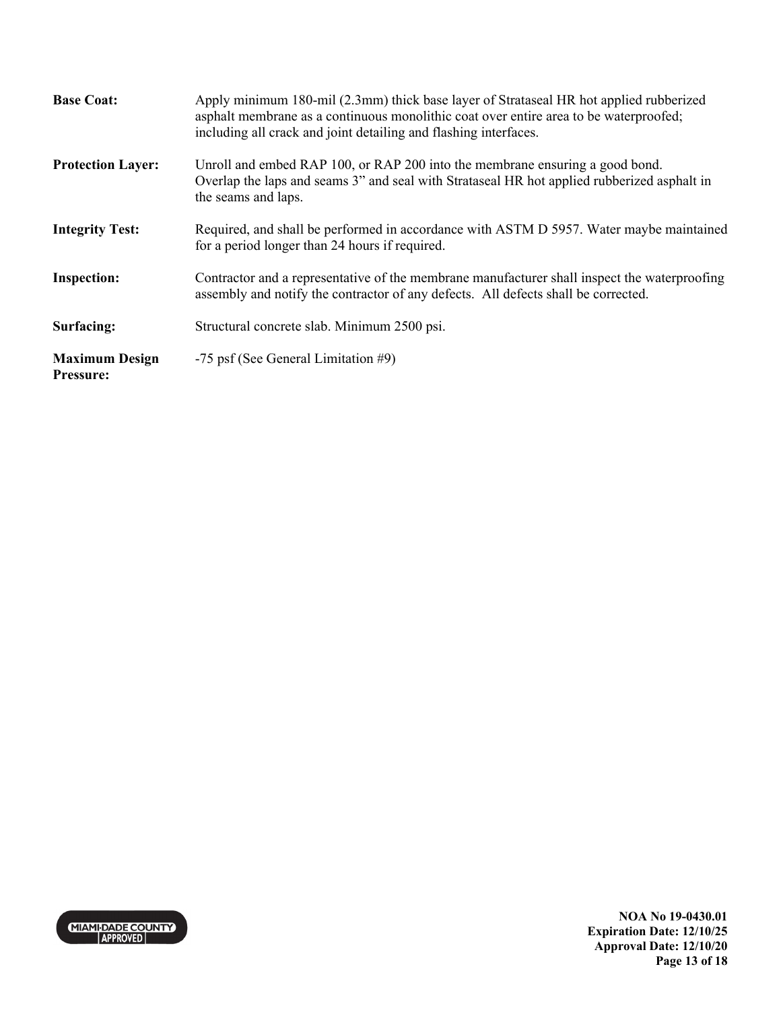| <b>Base Coat:</b>                         | Apply minimum 180-mil (2.3mm) thick base layer of Strataseal HR hot applied rubberized<br>asphalt membrane as a continuous monolithic coat over entire area to be waterproofed;<br>including all crack and joint detailing and flashing interfaces. |
|-------------------------------------------|-----------------------------------------------------------------------------------------------------------------------------------------------------------------------------------------------------------------------------------------------------|
| <b>Protection Layer:</b>                  | Unroll and embed RAP 100, or RAP 200 into the membrane ensuring a good bond.<br>Overlap the laps and seams 3" and seal with Strataseal HR hot applied rubberized asphalt in<br>the seams and laps.                                                  |
| <b>Integrity Test:</b>                    | Required, and shall be performed in accordance with ASTM D 5957. Water maybe maintained<br>for a period longer than 24 hours if required.                                                                                                           |
| <b>Inspection:</b>                        | Contractor and a representative of the membrane manufacturer shall inspect the waterproofing<br>assembly and notify the contractor of any defects. All defects shall be corrected.                                                                  |
| Surfacing:                                | Structural concrete slab. Minimum 2500 psi.                                                                                                                                                                                                         |
| <b>Maximum Design</b><br><b>Pressure:</b> | -75 psf (See General Limitation #9)                                                                                                                                                                                                                 |

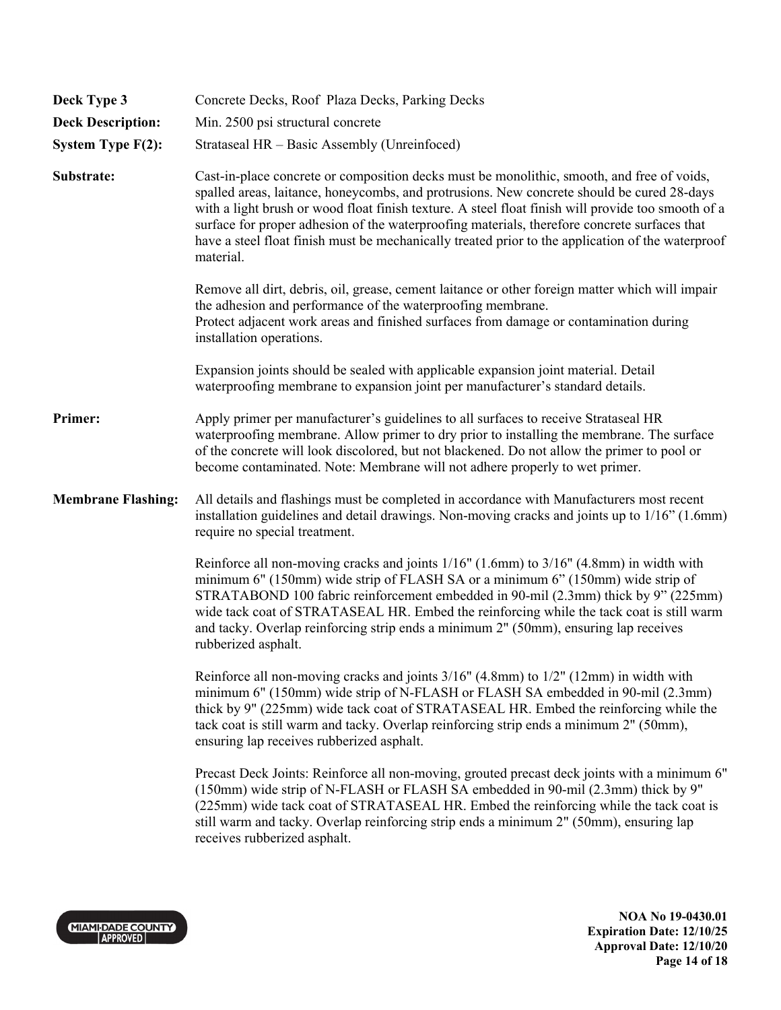| Deck Type 3               | Concrete Decks, Roof Plaza Decks, Parking Decks                                                                                                                                                                                                                                                                                                                                                                                                                                                                  |
|---------------------------|------------------------------------------------------------------------------------------------------------------------------------------------------------------------------------------------------------------------------------------------------------------------------------------------------------------------------------------------------------------------------------------------------------------------------------------------------------------------------------------------------------------|
| <b>Deck Description:</b>  | Min. 2500 psi structural concrete                                                                                                                                                                                                                                                                                                                                                                                                                                                                                |
| System Type F(2):         | Strataseal HR - Basic Assembly (Unreinfoced)                                                                                                                                                                                                                                                                                                                                                                                                                                                                     |
| Substrate:                | Cast-in-place concrete or composition decks must be monolithic, smooth, and free of voids,<br>spalled areas, laitance, honeycombs, and protrusions. New concrete should be cured 28-days<br>with a light brush or wood float finish texture. A steel float finish will provide too smooth of a<br>surface for proper adhesion of the waterproofing materials, therefore concrete surfaces that<br>have a steel float finish must be mechanically treated prior to the application of the waterproof<br>material. |
|                           | Remove all dirt, debris, oil, grease, cement laitance or other foreign matter which will impair<br>the adhesion and performance of the waterproofing membrane.<br>Protect adjacent work areas and finished surfaces from damage or contamination during<br>installation operations.                                                                                                                                                                                                                              |
|                           | Expansion joints should be sealed with applicable expansion joint material. Detail<br>waterproofing membrane to expansion joint per manufacturer's standard details.                                                                                                                                                                                                                                                                                                                                             |
| Primer:                   | Apply primer per manufacturer's guidelines to all surfaces to receive Strataseal HR<br>waterproofing membrane. Allow primer to dry prior to installing the membrane. The surface<br>of the concrete will look discolored, but not blackened. Do not allow the primer to pool or<br>become contaminated. Note: Membrane will not adhere properly to wet primer.                                                                                                                                                   |
| <b>Membrane Flashing:</b> | All details and flashings must be completed in accordance with Manufacturers most recent<br>installation guidelines and detail drawings. Non-moving cracks and joints up to $1/16$ <sup>o</sup> (1.6mm)<br>require no special treatment.                                                                                                                                                                                                                                                                         |
|                           | Reinforce all non-moving cracks and joints 1/16" (1.6mm) to 3/16" (4.8mm) in width with<br>minimum 6" (150mm) wide strip of FLASH SA or a minimum 6" (150mm) wide strip of<br>STRATABOND 100 fabric reinforcement embedded in 90-mil (2.3mm) thick by 9" (225mm)<br>wide tack coat of STRATASEAL HR. Embed the reinforcing while the tack coat is still warm<br>and tacky. Overlap reinforcing strip ends a minimum 2" (50mm), ensuring lap receives<br>rubberized asphalt.                                      |
|                           | Reinforce all non-moving cracks and joints $3/16$ " (4.8mm) to $1/2$ " (12mm) in width with<br>minimum 6" (150mm) wide strip of N-FLASH or FLASH SA embedded in 90-mil (2.3mm)<br>thick by 9" (225mm) wide tack coat of STRATASEAL HR. Embed the reinforcing while the<br>tack coat is still warm and tacky. Overlap reinforcing strip ends a minimum 2" (50mm),<br>ensuring lap receives rubberized asphalt.                                                                                                    |
|                           | Precast Deck Joints: Reinforce all non-moving, grouted precast deck joints with a minimum 6"<br>(150mm) wide strip of N-FLASH or FLASH SA embedded in 90-mil (2.3mm) thick by 9"<br>(225mm) wide tack coat of STRATASEAL HR. Embed the reinforcing while the tack coat is<br>still warm and tacky. Overlap reinforcing strip ends a minimum 2" (50mm), ensuring lap<br>receives rubberized asphalt.                                                                                                              |
|                           |                                                                                                                                                                                                                                                                                                                                                                                                                                                                                                                  |

MIAMI-DADE COUNTY

**NOA No 19-0430.01 Expiration Date: 12/10/25 Approval Date: 12/10/20 Page 14 of 18**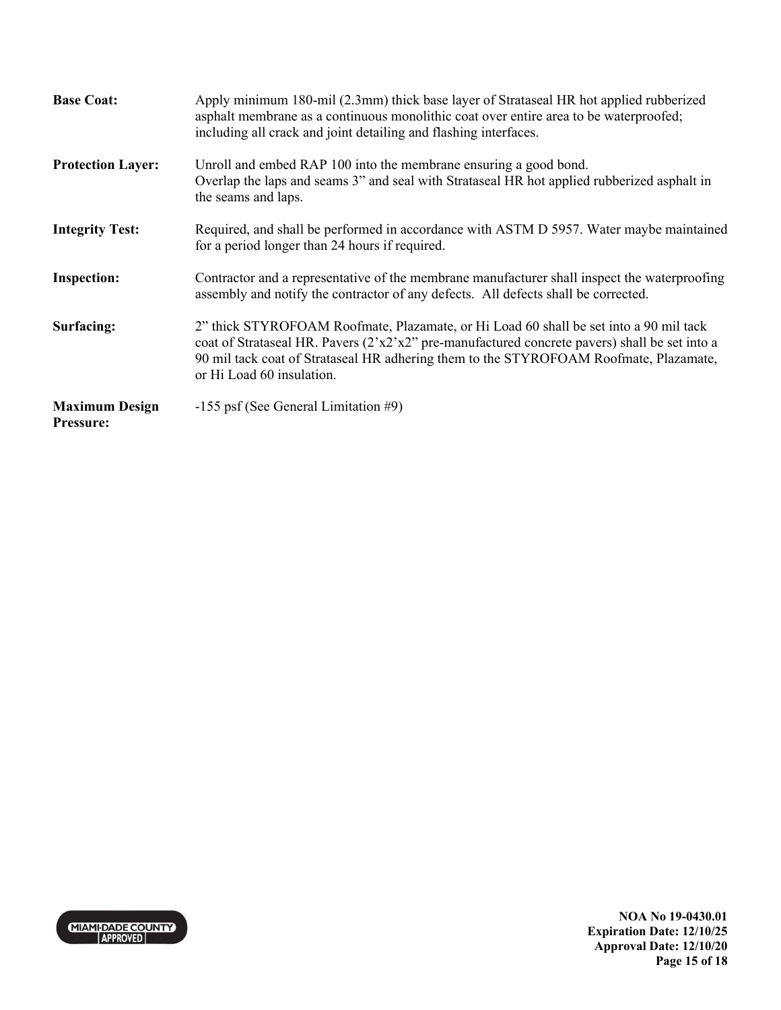| <b>Base Coat:</b>                         | Apply minimum 180-mil (2.3mm) thick base layer of Strataseal HR hot applied rubberized<br>asphalt membrane as a continuous monolithic coat over entire area to be waterproofed;<br>including all crack and joint detailing and flashing interfaces.                                                              |
|-------------------------------------------|------------------------------------------------------------------------------------------------------------------------------------------------------------------------------------------------------------------------------------------------------------------------------------------------------------------|
| <b>Protection Layer:</b>                  | Unroll and embed RAP 100 into the membrane ensuring a good bond.<br>Overlap the laps and seams 3" and seal with Strataseal HR hot applied rubberized asphalt in<br>the seams and laps.                                                                                                                           |
| <b>Integrity Test:</b>                    | Required, and shall be performed in accordance with ASTM D 5957. Water maybe maintained<br>for a period longer than 24 hours if required.                                                                                                                                                                        |
| <b>Inspection:</b>                        | Contractor and a representative of the membrane manufacturer shall inspect the waterproofing<br>assembly and notify the contractor of any defects. All defects shall be corrected.                                                                                                                               |
| Surfacing:                                | 2" thick STYROFOAM Roofmate, Plazamate, or Hi Load 60 shall be set into a 90 mil tack<br>coat of Strataseal HR. Pavers $(2'x2'x2'')$ pre-manufactured concrete pavers) shall be set into a<br>90 mil tack coat of Strataseal HR adhering them to the STYROFOAM Roofmate, Plazamate,<br>or Hi Load 60 insulation. |
| <b>Maximum Design</b><br><b>Pressure:</b> | $-155$ psf (See General Limitation #9)                                                                                                                                                                                                                                                                           |

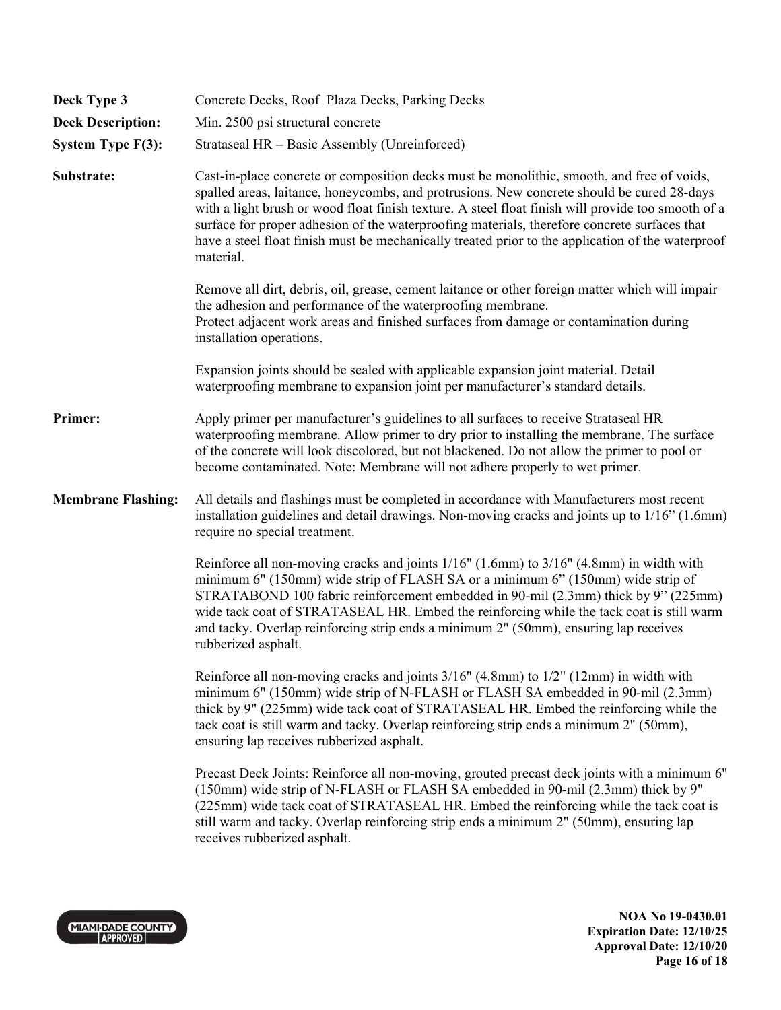| Deck Type 3               | Concrete Decks, Roof Plaza Decks, Parking Decks                                                                                                                                                                                                                                                                                                                                                                                                                                                                  |
|---------------------------|------------------------------------------------------------------------------------------------------------------------------------------------------------------------------------------------------------------------------------------------------------------------------------------------------------------------------------------------------------------------------------------------------------------------------------------------------------------------------------------------------------------|
| <b>Deck Description:</b>  | Min. 2500 psi structural concrete                                                                                                                                                                                                                                                                                                                                                                                                                                                                                |
| System Type F(3):         | Strataseal HR - Basic Assembly (Unreinforced)                                                                                                                                                                                                                                                                                                                                                                                                                                                                    |
| Substrate:                | Cast-in-place concrete or composition decks must be monolithic, smooth, and free of voids,<br>spalled areas, laitance, honeycombs, and protrusions. New concrete should be cured 28-days<br>with a light brush or wood float finish texture. A steel float finish will provide too smooth of a<br>surface for proper adhesion of the waterproofing materials, therefore concrete surfaces that<br>have a steel float finish must be mechanically treated prior to the application of the waterproof<br>material. |
|                           | Remove all dirt, debris, oil, grease, cement laitance or other foreign matter which will impair<br>the adhesion and performance of the waterproofing membrane.<br>Protect adjacent work areas and finished surfaces from damage or contamination during<br>installation operations.                                                                                                                                                                                                                              |
|                           | Expansion joints should be sealed with applicable expansion joint material. Detail<br>waterproofing membrane to expansion joint per manufacturer's standard details.                                                                                                                                                                                                                                                                                                                                             |
| Primer:                   | Apply primer per manufacturer's guidelines to all surfaces to receive Strataseal HR<br>waterproofing membrane. Allow primer to dry prior to installing the membrane. The surface<br>of the concrete will look discolored, but not blackened. Do not allow the primer to pool or<br>become contaminated. Note: Membrane will not adhere properly to wet primer.                                                                                                                                                   |
| <b>Membrane Flashing:</b> | All details and flashings must be completed in accordance with Manufacturers most recent<br>installation guidelines and detail drawings. Non-moving cracks and joints up to 1/16" (1.6mm)<br>require no special treatment.                                                                                                                                                                                                                                                                                       |
|                           | Reinforce all non-moving cracks and joints 1/16" (1.6mm) to 3/16" (4.8mm) in width with<br>minimum 6" (150mm) wide strip of FLASH SA or a minimum 6" (150mm) wide strip of<br>STRATABOND 100 fabric reinforcement embedded in 90-mil (2.3mm) thick by 9" (225mm)<br>wide tack coat of STRATASEAL HR. Embed the reinforcing while the tack coat is still warm<br>and tacky. Overlap reinforcing strip ends a minimum 2" (50mm), ensuring lap receives<br>rubberized asphalt.                                      |
|                           | Reinforce all non-moving cracks and joints $3/16$ " (4.8mm) to $1/2$ " (12mm) in width with<br>minimum 6" (150mm) wide strip of N-FLASH or FLASH SA embedded in 90-mil (2.3mm)<br>thick by 9" (225mm) wide tack coat of STRATASEAL HR. Embed the reinforcing while the<br>tack coat is still warm and tacky. Overlap reinforcing strip ends a minimum 2" (50mm),<br>ensuring lap receives rubberized asphalt.                                                                                                    |
|                           | Precast Deck Joints: Reinforce all non-moving, grouted precast deck joints with a minimum 6"<br>(150mm) wide strip of N-FLASH or FLASH SA embedded in 90-mil (2.3mm) thick by 9"<br>(225mm) wide tack coat of STRATASEAL HR. Embed the reinforcing while the tack coat is<br>still warm and tacky. Overlap reinforcing strip ends a minimum 2" (50mm), ensuring lap<br>receives rubberized asphalt.                                                                                                              |
|                           |                                                                                                                                                                                                                                                                                                                                                                                                                                                                                                                  |



**NOA No 19-0430.01 Expiration Date: 12/10/25 Approval Date: 12/10/20 Page 16 of 18**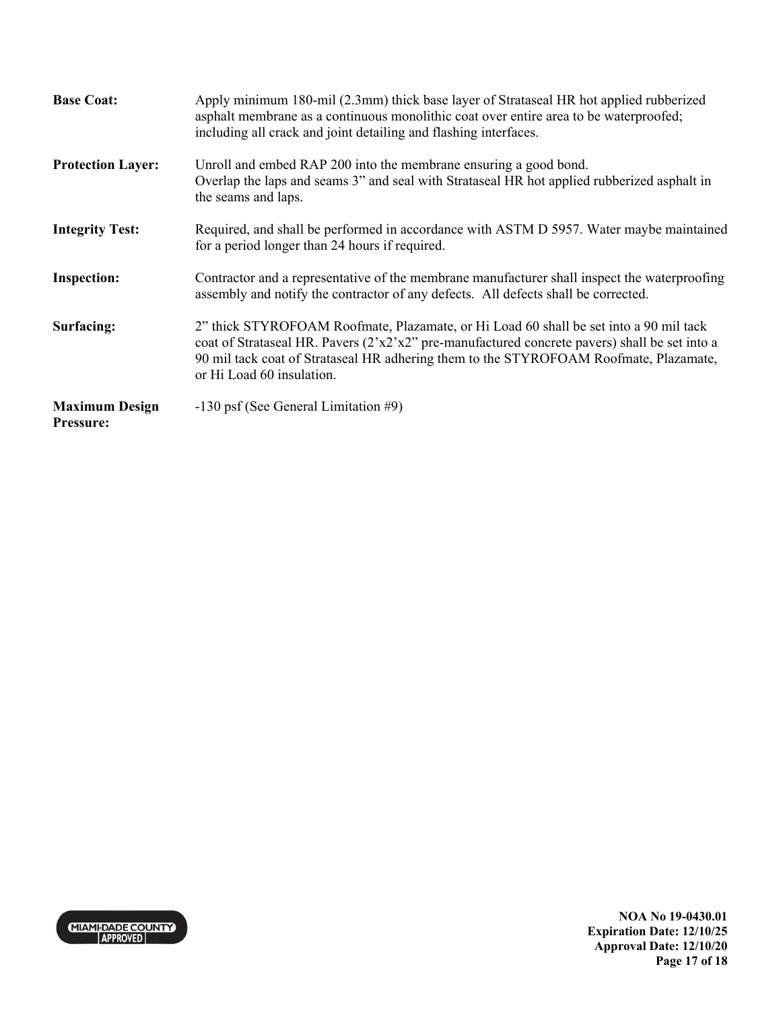| <b>Base Coat:</b>                         | Apply minimum 180-mil (2.3mm) thick base layer of Strataseal HR hot applied rubberized<br>asphalt membrane as a continuous monolithic coat over entire area to be waterproofed;<br>including all crack and joint detailing and flashing interfaces.                                                              |
|-------------------------------------------|------------------------------------------------------------------------------------------------------------------------------------------------------------------------------------------------------------------------------------------------------------------------------------------------------------------|
| <b>Protection Layer:</b>                  | Unroll and embed RAP 200 into the membrane ensuring a good bond.<br>Overlap the laps and seams 3" and seal with Strataseal HR hot applied rubberized asphalt in<br>the seams and laps.                                                                                                                           |
| <b>Integrity Test:</b>                    | Required, and shall be performed in accordance with ASTM D 5957. Water maybe maintained<br>for a period longer than 24 hours if required.                                                                                                                                                                        |
| <b>Inspection:</b>                        | Contractor and a representative of the membrane manufacturer shall inspect the waterproofing<br>assembly and notify the contractor of any defects. All defects shall be corrected.                                                                                                                               |
| Surfacing:                                | 2" thick STYROFOAM Roofmate, Plazamate, or Hi Load 60 shall be set into a 90 mil tack<br>coat of Strataseal HR. Pavers $(2'x2'x2'')$ pre-manufactured concrete pavers) shall be set into a<br>90 mil tack coat of Strataseal HR adhering them to the STYROFOAM Roofmate, Plazamate,<br>or Hi Load 60 insulation. |
| <b>Maximum Design</b><br><b>Pressure:</b> | -130 psf (See General Limitation #9)                                                                                                                                                                                                                                                                             |